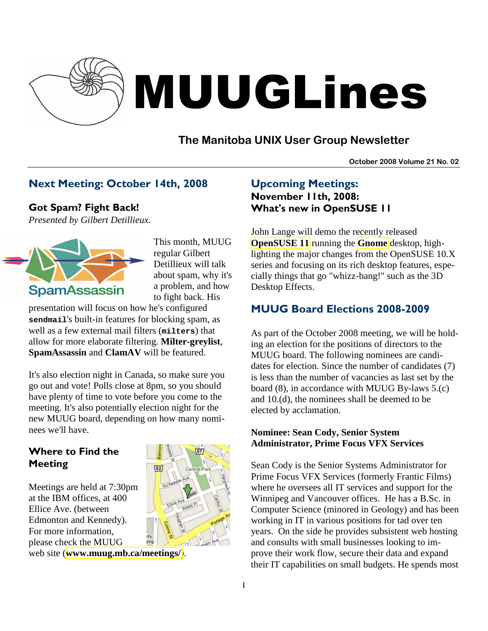

# MUUGLines

# **The Manitoba UNIX User Group Newsletter**

**October 2008 Volume 21 No. 02**

## Next Meeting: October 14th, 2008

Got Spam? Fight Back!

*Presented by Gilbert Detillieux.* 



This month, MUUG regular Gilbert Detillieux will talk about spam, why it's a problem, and how to fight back. His

presentation will focus on how he's configured **sendmail**'s built-in features for blocking spam, as well as a few external mail filters (**milters**) that allow for more elaborate filtering. **Milter-greylist**, **SpamAssassin** and **ClamAV** will be featured.

It's also election night in Canada, so make sure you go out and vote! Polls close at 8pm, so you should have plenty of time to vote before you come to the meeting. It's also potentially election night for the new MUUG board, depending on how many nominees we'll have.

## Where to Find the Meeting

Meetings are held at 7:30pm at the IBM offices, at 400 Ellice Ave. (between Edmonton and Kennedy). For more information, please check the MUUG



web site (**[www.muug.mb.ca/meetings/](http://www.muug.mb.ca/meetings/)**).

# Upcoming Meetings: November 11th, 2008: What's new in OpenSUSE 11

John Lange will demo the recently released **[OpenSUSE 11](http://en.opensuse.org/OpenSUSE_11.0)** running the **[Gnome](http://www.gnome.org/)** desktop, highlighting the major changes from the OpenSUSE 10.X series and focusing on its rich desktop features, especially things that go "whizz-bang!" such as the 3D Desktop Effects.

# MUUG Board Elections 2008-2009

As part of the October 2008 meeting, we will be holding an election for the positions of directors to the MUUG board. The following nominees are candidates for election. Since the number of candidates (7) is less than the number of vacancies as last set by the board (8), in accordance with MUUG By-laws 5.(c) and 10.(d), the nominees shall be deemed to be elected by acclamation.

#### **Nominee: Sean Cody, Senior System Administrator, Prime Focus VFX Services**

Sean Cody is the Senior Systems Administrator for Prime Focus VFX Services (formerly Frantic Films) where he oversees all IT services and support for the Winnipeg and Vancouver offices. He has a B.Sc. in Computer Science (minored in Geology) and has been working in IT in various positions for tad over ten years. On the side he provides subsistent web hosting and consults with small businesses looking to improve their work flow, secure their data and expand their IT capabilities on small budgets. He spends most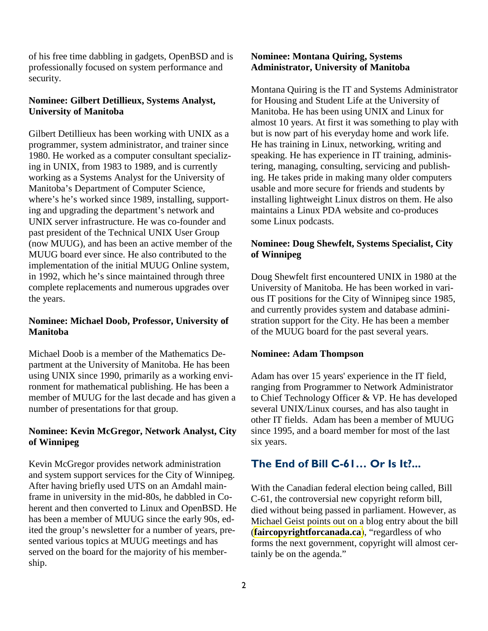of his free time dabbling in gadgets, OpenBSD and is professionally focused on system performance and security.

#### **Nominee: Gilbert Detillieux, Systems Analyst, University of Manitoba**

Gilbert Detillieux has been working with UNIX as a programmer, system administrator, and trainer since 1980. He worked as a computer consultant specializing in UNIX, from 1983 to 1989, and is currently working as a Systems Analyst for the University of Manitoba's Department of Computer Science, where's he's worked since 1989, installing, supporting and upgrading the department's network and UNIX server infrastructure. He was co-founder and past president of the Technical UNIX User Group (now MUUG), and has been an active member of the MUUG board ever since. He also contributed to the implementation of the initial MUUG Online system, in 1992, which he's since maintained through three complete replacements and numerous upgrades over the years.

#### **Nominee: Michael Doob, Professor, University of Manitoba**

Michael Doob is a member of the Mathematics Department at the University of Manitoba. He has been using UNIX since 1990, primarily as a working environment for mathematical publishing. He has been a member of MUUG for the last decade and has given a number of presentations for that group.

#### **Nominee: Kevin McGregor, Network Analyst, City of Winnipeg**

Kevin McGregor provides network administration and system support services for the City of Winnipeg. After having briefly used UTS on an Amdahl mainframe in university in the mid-80s, he dabbled in Coherent and then converted to Linux and OpenBSD. He has been a member of MUUG since the early 90s, edited the group's newsletter for a number of years, presented various topics at MUUG meetings and has served on the board for the majority of his membership.

#### **Nominee: Montana Quiring, Systems Administrator, University of Manitoba**

Montana Quiring is the IT and Systems Administrator for Housing and Student Life at the University of Manitoba. He has been using UNIX and Linux for almost 10 years. At first it was something to play with but is now part of his everyday home and work life. He has training in Linux, networking, writing and speaking. He has experience in IT training, administering, managing, consulting, servicing and publishing. He takes pride in making many older computers usable and more secure for friends and students by installing lightweight Linux distros on them. He also maintains a Linux PDA website and co-produces some Linux podcasts.

### **Nominee: Doug Shewfelt, Systems Specialist, City of Winnipeg**

Doug Shewfelt first encountered UNIX in 1980 at the University of Manitoba. He has been worked in various IT positions for the City of Winnipeg since 1985, and currently provides system and database administration support for the City. He has been a member of the MUUG board for the past several years.

#### **Nominee: Adam Thompson**

Adam has over 15 years' experience in the IT field, ranging from Programmer to Network Administrator to Chief Technology Officer & VP. He has developed several UNIX/Linux courses, and has also taught in other IT fields. Adam has been a member of MUUG since 1995, and a board member for most of the last six years.

# The End of Bill C-61… Or Is It?...

With the Canadian federal election being called, Bill C-61, the controversial new copyright reform bill, died without being passed in parliament. However, as Michael Geist points out on a blog entry about the bill (**[faircopyrightforcanada.ca](http://www.faircopyrightforcanada.ca/)**), "regardless of who forms the next government, copyright will almost certainly be on the agenda."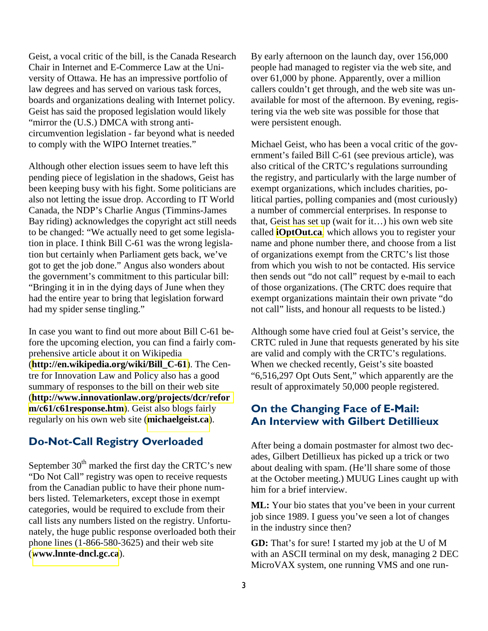Geist, a vocal critic of the bill, is the Canada Research Chair in Internet and E-Commerce Law at the University of Ottawa. He has an impressive portfolio of law degrees and has served on various task forces, boards and organizations dealing with Internet policy. Geist has said the proposed legislation would likely "mirror the (U.S.) DMCA with strong anticircumvention legislation - far beyond what is needed to comply with the WIPO Internet treaties."

Although other election issues seem to have left this pending piece of legislation in the shadows, Geist has been keeping busy with his fight. Some politicians are also not letting the issue drop. According to IT World Canada, the NDP's Charlie Angus (Timmins-James Bay riding) acknowledges the copyright act still needs to be changed: "We actually need to get some legislation in place. I think Bill C-61 was the wrong legislation but certainly when Parliament gets back, we've got to get the job done." Angus also wonders about the government's commitment to this particular bill: "Bringing it in in the dying days of June when they had the entire year to bring that legislation forward had my spider sense tingling."

In case you want to find out more about Bill C-61 before the upcoming election, you can find a fairly comprehensive article about it on Wikipedia (**[http://en.wikipedia.org/wiki/Bill\\_C-61](http://en.wikipedia.org/wiki/Bill_C-61)**). The Centre for Innovation Law and Policy also has a good summary of responses to the bill on their web site (**[http://www.innovationlaw.org/projects/dcr/refor](http://www.innovationlaw.org/projects/dcr/reform/c61/c61response.htm) [m/c61/c61response.htm](http://www.innovationlaw.org/projects/dcr/reform/c61/c61response.htm)**). Geist also blogs fairly regularly on his own web site (**[michaelgeist.ca](http://www.michaelgeist.ca/)**).

## Do-Not-Call Registry Overloaded

September  $30<sup>th</sup>$  marked the first day the CRTC's new "Do Not Call" registry was open to receive requests from the Canadian public to have their phone numbers listed. Telemarketers, except those in exempt categories, would be required to exclude from their call lists any numbers listed on the registry. Unfortunately, the huge public response overloaded both their phone lines (1-866-580-3625) and their web site (**[www.lnnte-dncl.gc.ca](https://www.lnnte-dncl.gc.ca/)**).

By early afternoon on the launch day, over 156,000 people had managed to register via the web site, and over 61,000 by phone. Apparently, over a million callers couldn't get through, and the web site was unavailable for most of the afternoon. By evening, registering via the web site was possible for those that were persistent enough.

Michael Geist, who has been a vocal critic of the government's failed Bill C-61 (see previous article), was also critical of the CRTC's regulations surrounding the registry, and particularly with the large number of exempt organizations, which includes charities, political parties, polling companies and (most curiously) a number of commercial enterprises. In response to that, Geist has set up (wait for it…) his own web site called **[iOptOut.ca](http://ioptout.ca/)**, which allows you to register your name and phone number there, and choose from a list of organizations exempt from the CRTC's list those from which you wish to not be contacted. His service then sends out "do not call" request by e-mail to each of those organizations. (The CRTC does require that exempt organizations maintain their own private "do not call" lists, and honour all requests to be listed.)

Although some have cried foul at Geist's service, the CRTC ruled in June that requests generated by his site are valid and comply with the CRTC's regulations. When we checked recently, Geist's site boasted "6,516,297 Opt Outs Sent," which apparently are the result of approximately 50,000 people registered.

## On the Changing Face of E-Mail: An Interview with Gilbert Detillieux

After being a domain postmaster for almost two decades, Gilbert Detillieux has picked up a trick or two about dealing with spam. (He'll share some of those at the October meeting.) MUUG Lines caught up with him for a brief interview.

**ML:** Your bio states that you've been in your current job since 1989. I guess you've seen a lot of changes in the industry since then?

**GD:** That's for sure! I started my job at the U of M with an ASCII terminal on my desk, managing 2 DEC MicroVAX system, one running VMS and one run